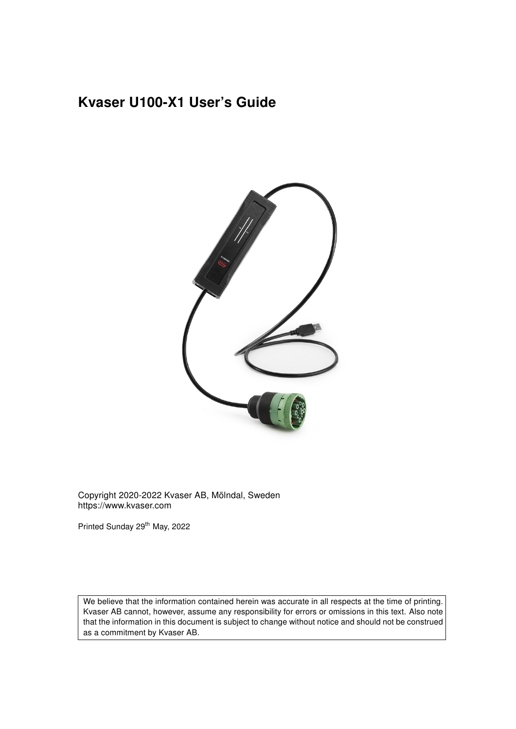### Kvaser U100-X1 User's Guide



Copyright 2020-2022 Kvaser AB, Mölndal, Sweden https://www.kvaser.com

Printed Sunday 29<sup>th</sup> May, 2022

We believe that the information contained herein was accurate in all respects at the time of printing. Kvaser AB cannot, however, assume any responsibility for errors or omissions in this text. Also note that the information in this document is subject to change without notice and should not be construed as a commitment by Kvaser AB.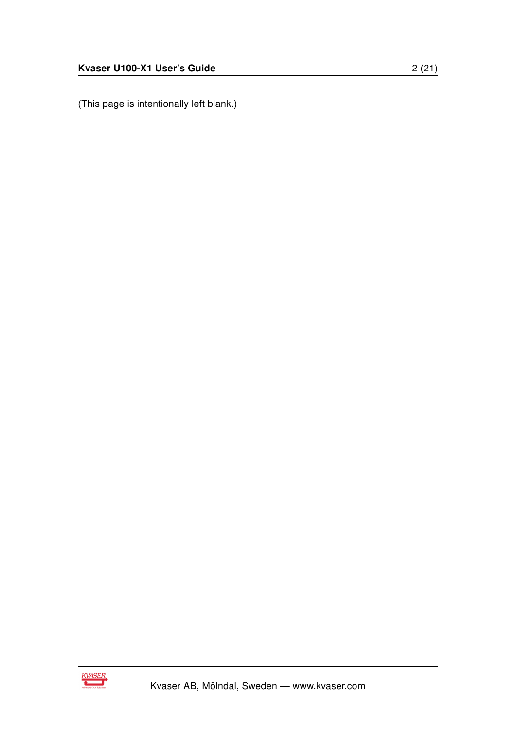(This page is intentionally left blank.)

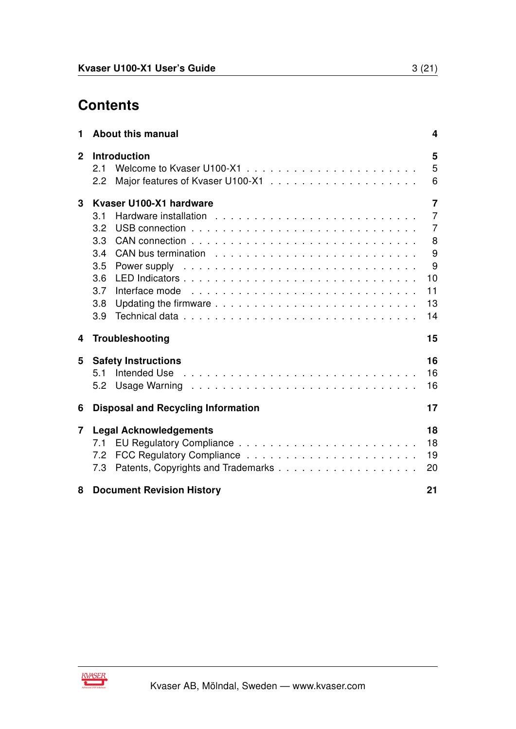# **Contents**

| 1.             |                                                             | <b>About this manual</b>                                                                                                                                                                                                                                                                                                                                                                                                                                                                    | 4                                                                                         |
|----------------|-------------------------------------------------------------|---------------------------------------------------------------------------------------------------------------------------------------------------------------------------------------------------------------------------------------------------------------------------------------------------------------------------------------------------------------------------------------------------------------------------------------------------------------------------------------------|-------------------------------------------------------------------------------------------|
| $\mathbf{2}$   | 2.1<br>$2.2\phantom{0}$                                     | <b>Introduction</b>                                                                                                                                                                                                                                                                                                                                                                                                                                                                         | 5<br>5<br>6                                                                               |
| 3              | 3.1<br>3.2<br>3.3<br>3.4<br>3.5<br>3.6<br>3.7<br>3.8<br>3.9 | Kvaser U100-X1 hardware<br>Power supply research research resources in the supply research resources in the supply resources in the supply of the supply of the supply of the supply of the supply of the supply of the supply of the supply of the suppl<br>Interface mode recover and contact the contract of the contract of the contract of the contract of the contract of the contract of the contract of the contract of the contract of the contract of the contract of the contrac | $\overline{7}$<br>$\overline{7}$<br>$\overline{7}$<br>8<br>9<br>9<br>10<br>11<br>13<br>14 |
| 4              |                                                             | Troubleshooting                                                                                                                                                                                                                                                                                                                                                                                                                                                                             | 15                                                                                        |
| 5              | 5.1<br>5.2                                                  | <b>Safety Instructions</b>                                                                                                                                                                                                                                                                                                                                                                                                                                                                  | 16<br>16<br>16                                                                            |
| 6              |                                                             | <b>Disposal and Recycling Information</b>                                                                                                                                                                                                                                                                                                                                                                                                                                                   | 17                                                                                        |
| $\overline{7}$ | 7.1<br>7.2<br>7.3                                           | <b>Legal Acknowledgements</b>                                                                                                                                                                                                                                                                                                                                                                                                                                                               | 18<br>18<br>19<br>20                                                                      |
| 8              |                                                             | <b>Document Revision History</b>                                                                                                                                                                                                                                                                                                                                                                                                                                                            | 21                                                                                        |

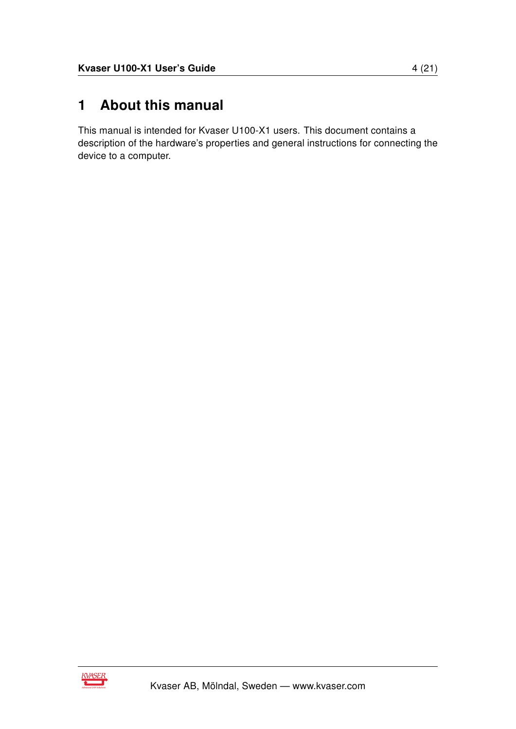### <span id="page-3-0"></span>1 About this manual

This manual is intended for Kvaser U100-X1 users. This document contains a description of the hardware's properties and general instructions for connecting the device to a computer.

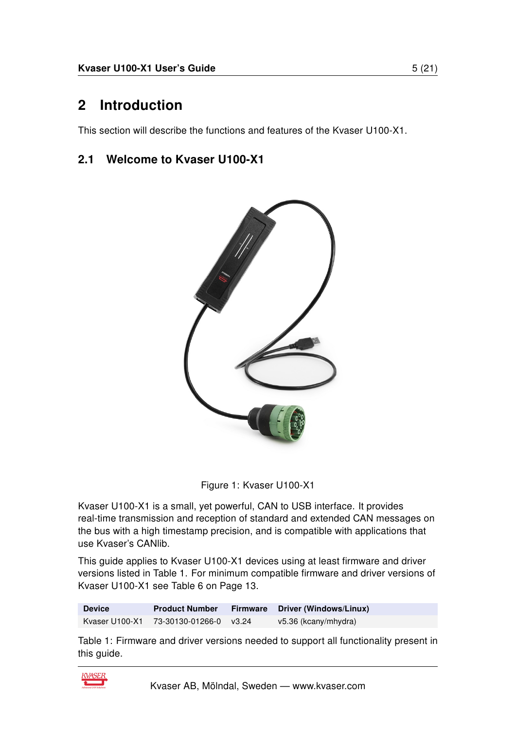# <span id="page-4-0"></span>2 Introduction

This section will describe the functions and features of the Kvaser U100-X1.

### <span id="page-4-1"></span>2.1 Welcome to Kvaser U100-X1



Figure 1: Kvaser U100-X1

Kvaser U100-X1 is a small, yet powerful, CAN to USB interface. It provides real-time transmission and reception of standard and extended CAN messages on the bus with a high timestamp precision, and is compatible with applications that use Kvaser's CANlib.

This guide applies to Kvaser U100-X1 devices using at least firmware and driver versions listed in [Table 1.](#page-4-2) For minimum compatible firmware and driver versions of Kvaser U100-X1 see [Table 6 on Page 13.](#page-12-1)

| <b>Device</b>  | <b>Product Number</b>  | Firmware Driver (Windows/Linux) |
|----------------|------------------------|---------------------------------|
| Kvaser U100-X1 | 73-30130-01266-0 v3.24 | v5.36 (kcany/mhydra)            |

<span id="page-4-2"></span>Table 1: Firmware and driver versions needed to support all functionality present in this guide.

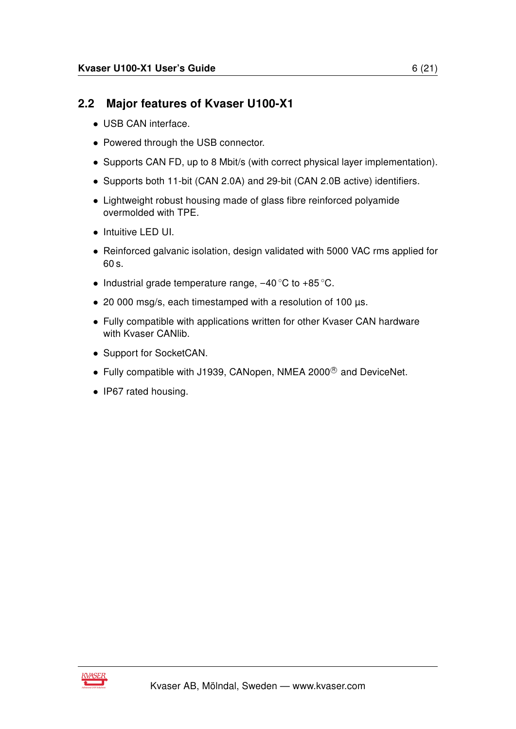#### <span id="page-5-0"></span>2.2 Major features of Kvaser U100-X1

- USB CAN interface.
- Powered through the USB connector.
- Supports CAN FD, up to 8 Mbit/s (with correct physical layer implementation).
- Supports both 11-bit (CAN 2.0A) and 29-bit (CAN 2.0B active) identifiers.
- Lightweight robust housing made of glass fibre reinforced polyamide overmolded with TPE.
- Intuitive LED UI.
- Reinforced galvanic isolation, design validated with 5000 VAC rms applied for 60 s.
- Industrial grade temperature range, −40 ◦C to +85 ◦C.
- 20 000 msg/s, each timestamped with a resolution of 100 µs.
- Fully compatible with applications written for other Kvaser CAN hardware with Kvaser CANlib.
- Support for SocketCAN.
- Fully compatible with J1939, CANopen, NMEA 2000 $^{\circledR}$  and DeviceNet.
- IP67 rated housing.

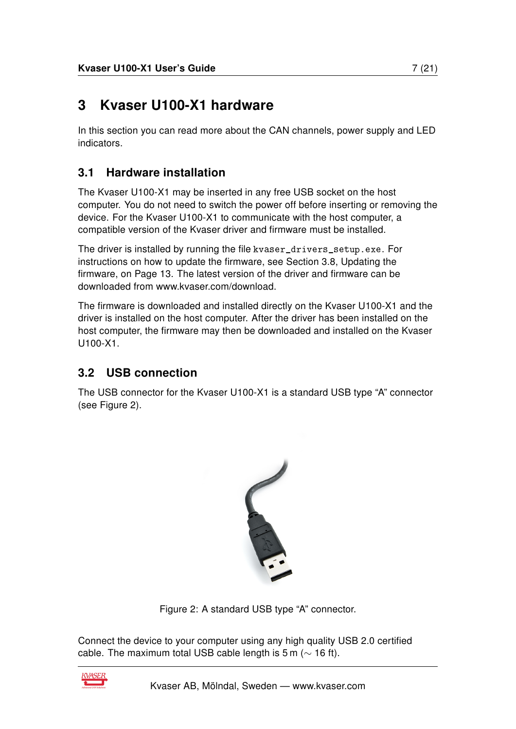# <span id="page-6-0"></span>3 Kvaser U100-X1 hardware

In this section you can read more about the CAN channels, power supply and LED indicators.

### <span id="page-6-1"></span>3.1 Hardware installation

The Kvaser U100-X1 may be inserted in any free USB socket on the host computer. You do not need to switch the power off before inserting or removing the device. For the Kvaser U100-X1 to communicate with the host computer, a compatible version of the Kvaser driver and firmware must be installed.

The driver is installed by running the file kvaser\_drivers\_setup.exe. For instructions on how to update the firmware, see [Section 3.8, Updating the](#page-12-0) [firmware, on Page 13.](#page-12-0) The latest version of the driver and firmware can be downloaded from [www.kvaser.com/download.](https://www.kvaser.com/download/)

The firmware is downloaded and installed directly on the Kvaser U100-X1 and the driver is installed on the host computer. After the driver has been installed on the host computer, the firmware may then be downloaded and installed on the Kvaser U100-X1.

### <span id="page-6-2"></span>3.2 USB connection

The USB connector for the Kvaser U100-X1 is a standard USB type "A" connector (see [Figure 2\)](#page-6-3).



Figure 2: A standard USB type "A" connector.

<span id="page-6-3"></span>Connect the device to your computer using any high quality USB 2.0 certified cable. The maximum total USB cable length is 5 m ( $\sim$  16 ft).

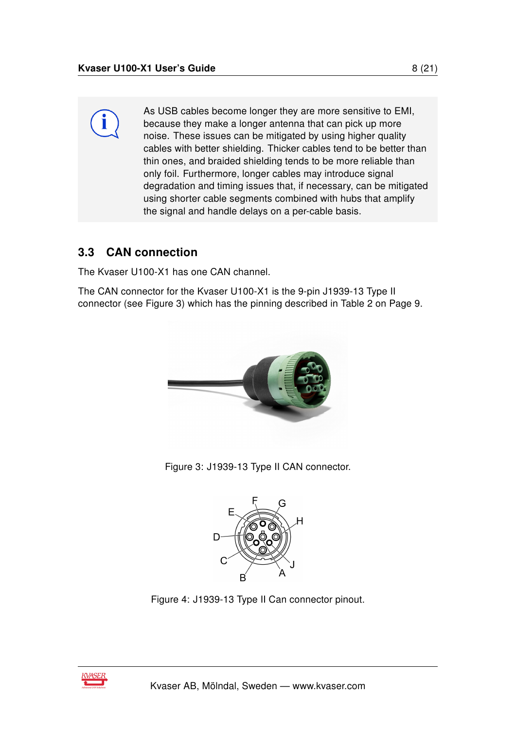As USB cables become longer they are more sensitive to EMI, because they make a longer antenna that can pick up more noise. These issues can be mitigated by using higher quality cables with better shielding. Thicker cables tend to be better than thin ones, and braided shielding tends to be more reliable than only foil. Furthermore, longer cables may introduce signal degradation and timing issues that, if necessary, can be mitigated using shorter cable segments combined with hubs that amplify the signal and handle delays on a per-cable basis.

### <span id="page-7-0"></span>3.3 CAN connection

The Kvaser U100-X1 has one CAN channel.

The CAN connector for the Kvaser U100-X1 is the 9-pin J1939-13 Type II connector (see [Figure 3\)](#page-7-1) which has the pinning described in [Table 2 on Page 9.](#page-8-2)



Figure 3: J1939-13 Type II CAN connector.

<span id="page-7-1"></span>

Figure 4: J1939-13 Type II Can connector pinout.

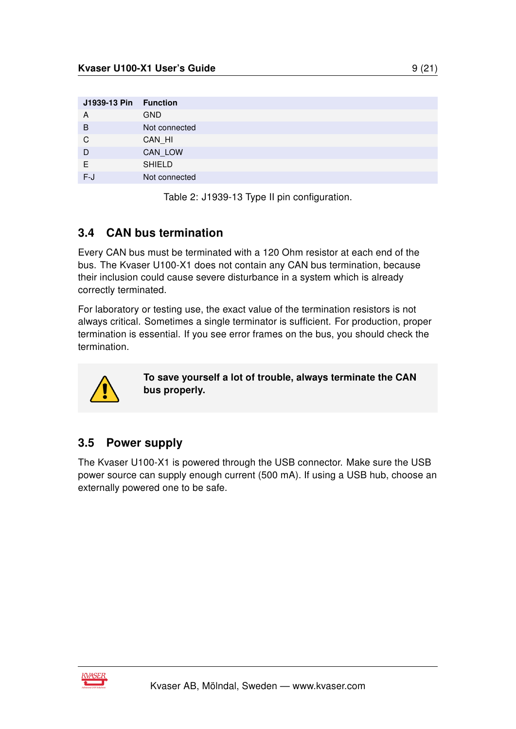| J1939-13 Pin Function |               |
|-----------------------|---------------|
| A                     | <b>GND</b>    |
| B                     | Not connected |
| C                     | CAN_HI        |
| D                     | CAN_LOW       |
| E.                    | <b>SHIELD</b> |
| F-J                   | Not connected |

<span id="page-8-2"></span>Table 2: J1939-13 Type II pin configuration.

### <span id="page-8-0"></span>3.4 CAN bus termination

Every CAN bus must be terminated with a 120 Ohm resistor at each end of the bus. The Kvaser U100-X1 does not contain any CAN bus termination, because their inclusion could cause severe disturbance in a system which is already correctly terminated.

For laboratory or testing use, the exact value of the termination resistors is not always critical. Sometimes a single terminator is sufficient. For production, proper termination is essential. If you see error frames on the bus, you should check the termination.



To save yourself a lot of trouble, always terminate the CAN bus properly.

### <span id="page-8-1"></span>3.5 Power supply

The Kvaser U100-X1 is powered through the USB connector. Make sure the USB power source can supply enough current (500 mA). If using a USB hub, choose an externally powered one to be safe.

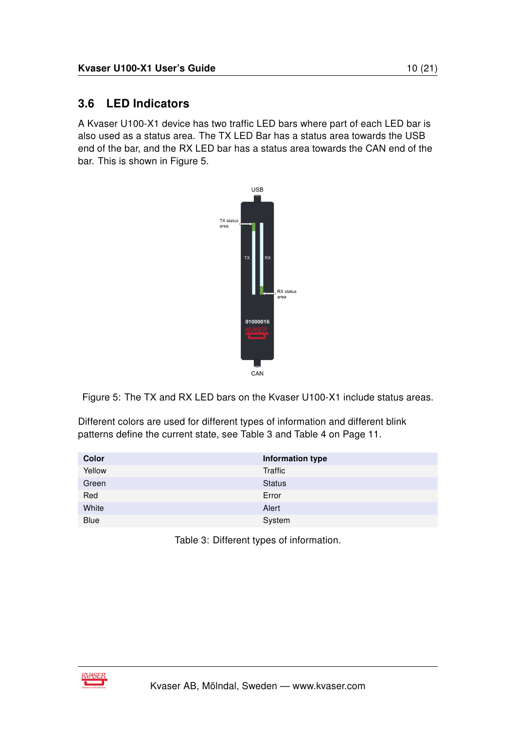### <span id="page-9-0"></span>3.6 LED Indicators

A Kvaser U100-X1 device has two traffic LED bars where part of each LED bar is also used as a status area. The TX LED Bar has a status area towards the USB end of the bar, and the RX LED bar has a status area towards the CAN end of the bar. This is shown in [Figure 5.](#page-9-1)



<span id="page-9-1"></span>Figure 5: The TX and RX LED bars on the Kvaser U100-X1 include status areas.

Different colors are used for different types of information and different blink patterns define the current state, see [Table 3](#page-9-2) and [Table 4 on Page 11.](#page-10-1)

| <b>Color</b> | <b>Information type</b> |
|--------------|-------------------------|
| Yellow       | <b>Traffic</b>          |
| Green        | <b>Status</b>           |
| Red          | Error                   |
| White        | Alert                   |
| Blue         | System                  |

<span id="page-9-2"></span>Table 3: Different types of information.

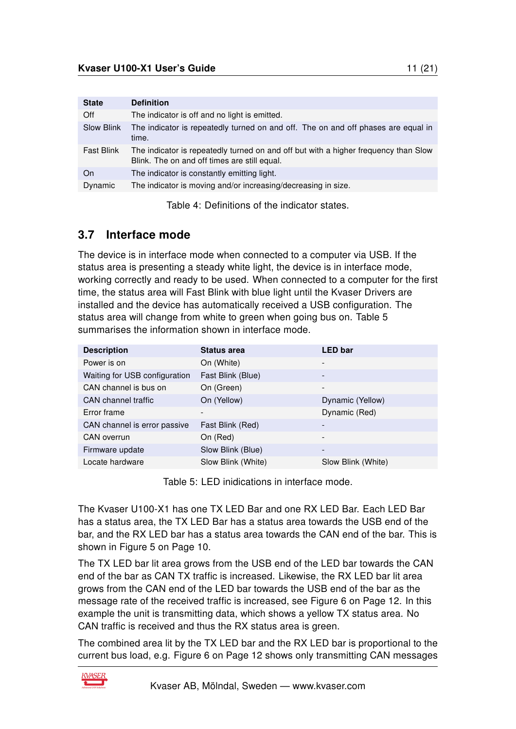| <b>State</b>      | <b>Definition</b>                                                                                                                   |
|-------------------|-------------------------------------------------------------------------------------------------------------------------------------|
| Off               | The indicator is off and no light is emitted.                                                                                       |
| <b>Slow Blink</b> | The indicator is repeatedly turned on and off. The on and off phases are equal in<br>time.                                          |
| <b>Fast Blink</b> | The indicator is repeatedly turned on and off but with a higher frequency than Slow<br>Blink. The on and off times are still equal. |
| On                | The indicator is constantly emitting light.                                                                                         |
| Dynamic           | The indicator is moving and/or increasing/decreasing in size.                                                                       |

<span id="page-10-1"></span>Table 4: Definitions of the indicator states.

### <span id="page-10-0"></span>3.7 Interface mode

The device is in interface mode when connected to a computer via USB. If the status area is presenting a steady white light, the device is in interface mode, working correctly and ready to be used. When connected to a computer for the first time, the status area will Fast Blink with blue light until the Kvaser Drivers are installed and the device has automatically received a USB configuration. The status area will change from white to green when going bus on. [Table 5](#page-10-2) summarises the information shown in interface mode.

| <b>Description</b>            | <b>Status area</b>       | <b>LED bar</b>           |
|-------------------------------|--------------------------|--------------------------|
| Power is on                   | On (White)               |                          |
| Waiting for USB configuration | Fast Blink (Blue)        |                          |
| CAN channel is bus on         | On (Green)               |                          |
| CAN channel traffic           | On (Yellow)              | Dynamic (Yellow)         |
| Error frame                   | $\overline{\phantom{a}}$ | Dynamic (Red)            |
| CAN channel is error passive  | Fast Blink (Red)         |                          |
| CAN overrun                   | On (Red)                 | $\overline{\phantom{a}}$ |
| Firmware update               | Slow Blink (Blue)        | $\overline{\phantom{a}}$ |
| Locate hardware               | Slow Blink (White)       | Slow Blink (White)       |

<span id="page-10-2"></span>Table 5: LED inidications in interface mode.

The Kvaser U100-X1 has one TX LED Bar and one RX LED Bar. Each LED Bar has a status area, the TX LED Bar has a status area towards the USB end of the bar, and the RX LED bar has a status area towards the CAN end of the bar. This is shown in [Figure 5 on Page 10.](#page-9-1)

The TX LED bar lit area grows from the USB end of the LED bar towards the CAN end of the bar as CAN TX traffic is increased. Likewise, the RX LED bar lit area grows from the CAN end of the LED bar towards the USB end of the bar as the message rate of the received traffic is increased, see [Figure 6 on Page 12.](#page-11-0) In this example the unit is transmitting data, which shows a yellow TX status area. No CAN traffic is received and thus the RX status area is green.

The combined area lit by the TX LED bar and the RX LED bar is proportional to the current bus load, e.g. [Figure 6 on Page 12](#page-11-0) shows only transmitting CAN messages

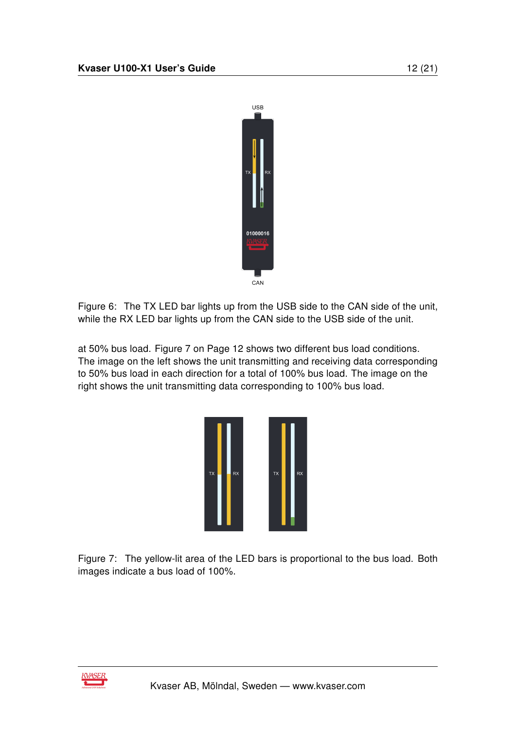

<span id="page-11-0"></span>Figure 6: The TX LED bar lights up from the USB side to the CAN side of the unit, while the RX LED bar lights up from the CAN side to the USB side of the unit.

at 50% bus load. [Figure 7 on Page 12](#page-11-1) shows two different bus load conditions. The image on the left shows the unit transmitting and receiving data corresponding to 50% bus load in each direction for a total of 100% bus load. The image on the right shows the unit transmitting data corresponding to 100% bus load.



<span id="page-11-1"></span>Figure 7: The yellow-lit area of the LED bars is proportional to the bus load. Both images indicate a bus load of 100%.

![](_page_11_Picture_6.jpeg)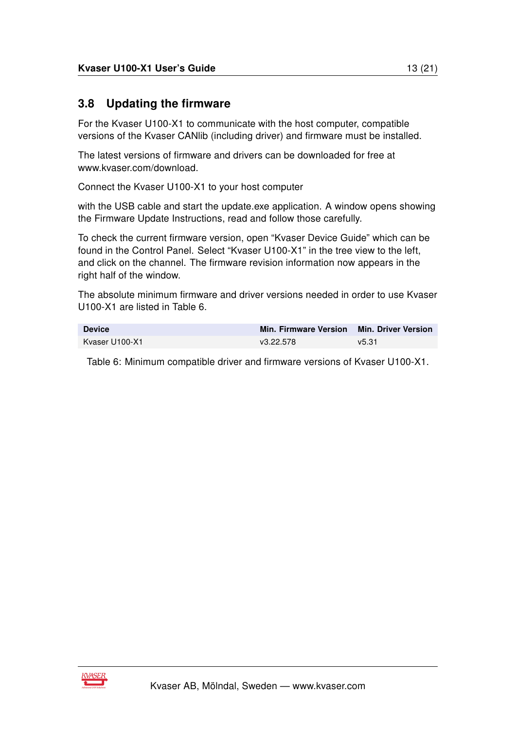#### <span id="page-12-0"></span>3.8 Updating the firmware

For the Kvaser U100-X1 to communicate with the host computer, compatible versions of the Kvaser CANlib (including driver) and firmware must be installed.

The latest versions of firmware and drivers can be downloaded for free at [www.kvaser.com/download.](https://www.kvaser.com/download/)

Connect the Kvaser U100-X1 to your host computer

with the USB cable and start the update.exe application. A window opens showing the Firmware Update Instructions, read and follow those carefully.

To check the current firmware version, open "Kvaser Device Guide" which can be found in the Control Panel. Select "Kvaser U100-X1" in the tree view to the left, and click on the channel. The firmware revision information now appears in the right half of the window.

The absolute minimum firmware and driver versions needed in order to use Kvaser U100-X1 are listed in [Table 6.](#page-12-1)

| <b>Device</b>  | Min. Firmware Version Min. Driver Version |       |
|----------------|-------------------------------------------|-------|
| Kvaser U100-X1 | v3.22.578                                 | v5.31 |

<span id="page-12-1"></span>Table 6: Minimum compatible driver and firmware versions of Kvaser U100-X1.

![](_page_12_Picture_10.jpeg)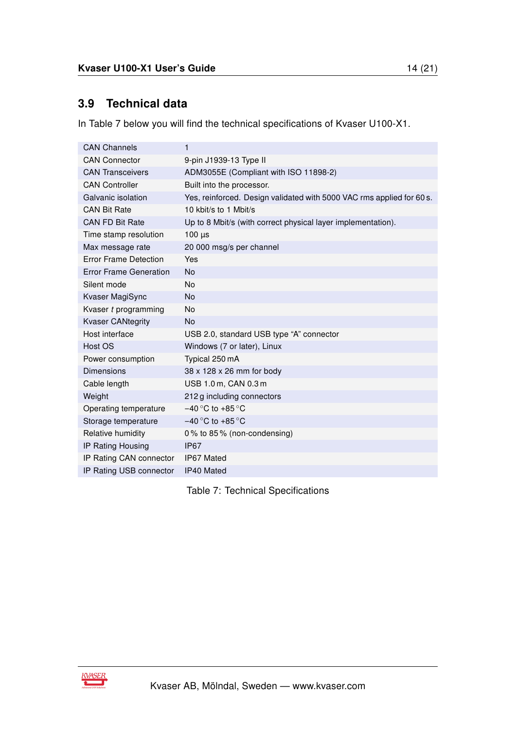#### <span id="page-13-0"></span>3.9 Technical data

In [Table 7](#page-13-1) below you will find the technical specifications of Kvaser U100-X1.

| <b>CAN Channels</b>           | 1                                                                     |
|-------------------------------|-----------------------------------------------------------------------|
| <b>CAN Connector</b>          | 9-pin J1939-13 Type II                                                |
| <b>CAN Transceivers</b>       | ADM3055E (Compliant with ISO 11898-2)                                 |
| <b>CAN Controller</b>         | Built into the processor.                                             |
| Galvanic isolation            | Yes, reinforced. Design validated with 5000 VAC rms applied for 60 s. |
| <b>CAN Bit Rate</b>           | 10 kbit/s to 1 Mbit/s                                                 |
| <b>CAN FD Bit Rate</b>        | Up to 8 Mbit/s (with correct physical layer implementation).          |
| Time stamp resolution         | $100 \mu s$                                                           |
| Max message rate              | 20 000 msg/s per channel                                              |
| <b>Error Frame Detection</b>  | Yes                                                                   |
| <b>Error Frame Generation</b> | <b>No</b>                                                             |
| Silent mode                   | No                                                                    |
| Kvaser MagiSync               | <b>No</b>                                                             |
| Kvaser t programming          | No                                                                    |
| <b>Kvaser CANtegrity</b>      | <b>No</b>                                                             |
| Host interface                | USB 2.0, standard USB type "A" connector                              |
| Host OS                       | Windows (7 or later), Linux                                           |
| Power consumption             | Typical 250 mA                                                        |
| Dimensions                    | 38 x 128 x 26 mm for body                                             |
| Cable length                  | USB 1.0 m, CAN 0.3 m                                                  |
| Weight                        | 212 g including connectors                                            |
| Operating temperature         | $-40^{\circ}$ C to +85 $^{\circ}$ C                                   |
| Storage temperature           | $-40^{\circ}$ C to +85 $^{\circ}$ C                                   |
| Relative humidity             | 0% to 85% (non-condensing)                                            |
| IP Rating Housing             | IP <sub>67</sub>                                                      |
| IP Rating CAN connector       | <b>IP67 Mated</b>                                                     |
| IP Rating USB connector       | IP40 Mated                                                            |

<span id="page-13-1"></span>Table 7: Technical Specifications

![](_page_13_Picture_5.jpeg)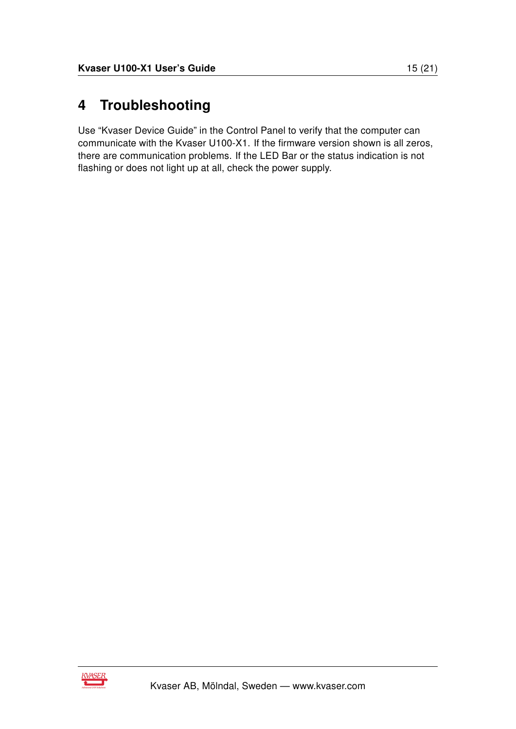# <span id="page-14-0"></span>4 Troubleshooting

Use "Kvaser Device Guide" in the Control Panel to verify that the computer can communicate with the Kvaser U100-X1. If the firmware version shown is all zeros, there are communication problems. If the LED Bar or the status indication is not flashing or does not light up at all, check the power supply.

![](_page_14_Picture_3.jpeg)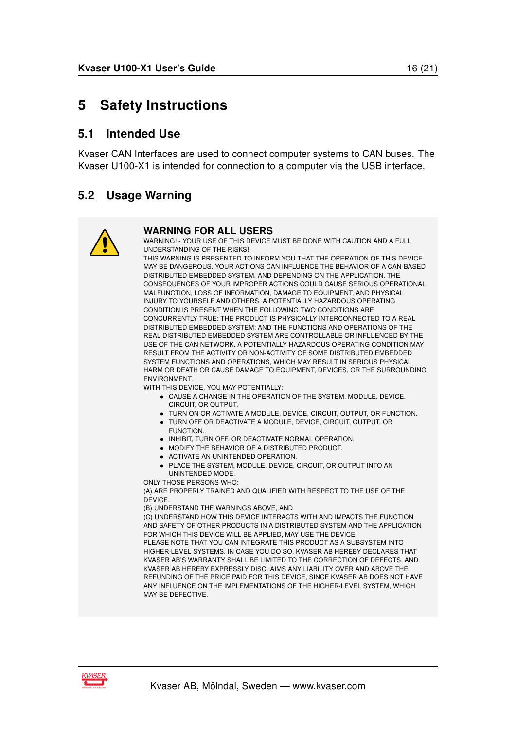### <span id="page-15-0"></span>5 Safety Instructions

#### <span id="page-15-1"></span>5.1 Intended Use

Kvaser CAN Interfaces are used to connect computer systems to CAN buses. The Kvaser U100-X1 is intended for connection to a computer via the USB interface.

### <span id="page-15-2"></span>5.2 Usage Warning

![](_page_15_Picture_5.jpeg)

#### WARNING FOR ALL USERS

WARNING! - YOUR USE OF THIS DEVICE MUST BE DONE WITH CAUTION AND A FULL UNDERSTANDING OF THE RISKS!

THIS WARNING IS PRESENTED TO INFORM YOU THAT THE OPERATION OF THIS DEVICE MAY BE DANGEROUS. YOUR ACTIONS CAN INFLUENCE THE BEHAVIOR OF A CAN-BASED DISTRIBUTED EMBEDDED SYSTEM, AND DEPENDING ON THE APPLICATION, THE CONSEQUENCES OF YOUR IMPROPER ACTIONS COULD CAUSE SERIOUS OPERATIONAL MALFUNCTION, LOSS OF INFORMATION, DAMAGE TO EQUIPMENT, AND PHYSICAL INJURY TO YOURSELF AND OTHERS. A POTENTIALLY HAZARDOUS OPERATING CONDITION IS PRESENT WHEN THE FOLLOWING TWO CONDITIONS ARE CONCURRENTLY TRUE: THE PRODUCT IS PHYSICALLY INTERCONNECTED TO A REAL DISTRIBUTED EMBEDDED SYSTEM; AND THE FUNCTIONS AND OPERATIONS OF THE REAL DISTRIBUTED EMBEDDED SYSTEM ARE CONTROLLABLE OR INFLUENCED BY THE USE OF THE CAN NETWORK. A POTENTIALLY HAZARDOUS OPERATING CONDITION MAY RESULT FROM THE ACTIVITY OR NON-ACTIVITY OF SOME DISTRIBUTED EMBEDDED SYSTEM FUNCTIONS AND OPERATIONS, WHICH MAY RESULT IN SERIOUS PHYSICAL HARM OR DEATH OR CAUSE DAMAGE TO EQUIPMENT, DEVICES, OR THE SURROUNDING ENVIRONMENT.

WITH THIS DEVICE, YOU MAY POTENTIALLY:

- CAUSE A CHANGE IN THE OPERATION OF THE SYSTEM, MODULE, DEVICE, CIRCUIT, OR OUTPUT.
- TURN ON OR ACTIVATE A MODULE, DEVICE, CIRCUIT, OUTPUT, OR FUNCTION.
- TURN OFF OR DEACTIVATE A MODULE, DEVICE, CIRCUIT, OUTPUT, OR
- FUNCTION. • INHIBIT, TURN OFF, OR DEACTIVATE NORMAL OPERATION.
- MODIFY THE BEHAVIOR OF A DISTRIBUTED PRODUCT.
- ACTIVATE AN UNINTENDED OPERATION.
- PLACE THE SYSTEM, MODULE, DEVICE, CIRCUIT, OR OUTPUT INTO AN UNINTENDED MODE.
- ONLY THOSE PERSONS WHO:

(A) ARE PROPERLY TRAINED AND QUALIFIED WITH RESPECT TO THE USE OF THE **DEVICE** 

(B) UNDERSTAND THE WARNINGS ABOVE, AND

(C) UNDERSTAND HOW THIS DEVICE INTERACTS WITH AND IMPACTS THE FUNCTION AND SAFETY OF OTHER PRODUCTS IN A DISTRIBUTED SYSTEM AND THE APPLICATION FOR WHICH THIS DEVICE WILL BE APPLIED, MAY USE THE DEVICE.

PLEASE NOTE THAT YOU CAN INTEGRATE THIS PRODUCT AS A SUBSYSTEM INTO HIGHER-LEVEL SYSTEMS. IN CASE YOU DO SO, KVASER AB HEREBY DECLARES THAT KVASER AB'S WARRANTY SHALL BE LIMITED TO THE CORRECTION OF DEFECTS, AND KVASER AB HEREBY EXPRESSLY DISCLAIMS ANY LIABILITY OVER AND ABOVE THE REFUNDING OF THE PRICE PAID FOR THIS DEVICE, SINCE KVASER AB DOES NOT HAVE ANY INFLUENCE ON THE IMPLEMENTATIONS OF THE HIGHER-LEVEL SYSTEM, WHICH MAY BE DEFECTIVE.

![](_page_15_Picture_22.jpeg)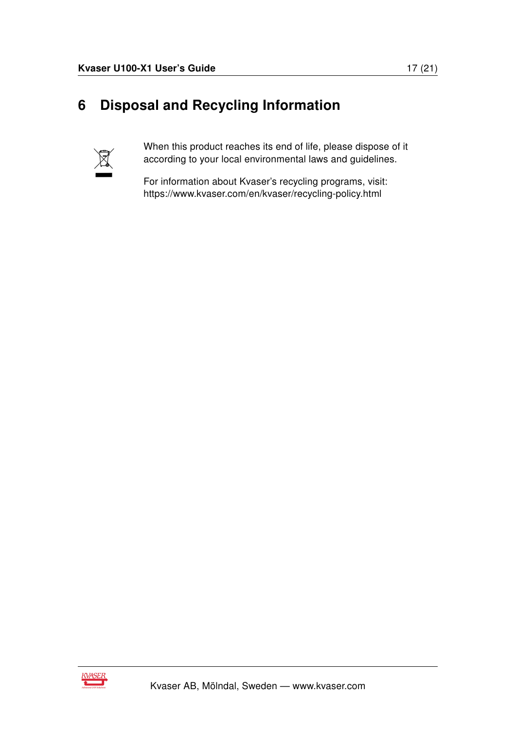# <span id="page-16-0"></span>6 Disposal and Recycling Information

![](_page_16_Picture_2.jpeg)

When this product reaches its end of life, please dispose of it according to your local environmental laws and guidelines.

For information about Kvaser's recycling programs, visit: <https://www.kvaser.com/en/kvaser/recycling-policy.html>

![](_page_16_Picture_5.jpeg)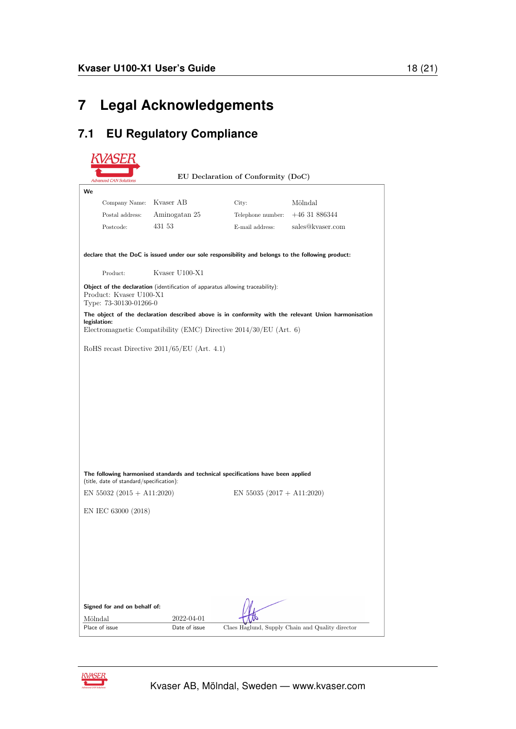# <span id="page-17-0"></span>7 Legal Acknowledgements

### <span id="page-17-1"></span>7.1 EU Regulatory Compliance

| <b>Advanced CAN Solutions</b>                                                                                                              |                                                                                | EU Declaration of Conformity (DoC)                                                                 |                                                                                                      |
|--------------------------------------------------------------------------------------------------------------------------------------------|--------------------------------------------------------------------------------|----------------------------------------------------------------------------------------------------|------------------------------------------------------------------------------------------------------|
| We                                                                                                                                         |                                                                                |                                                                                                    |                                                                                                      |
| Company Name:                                                                                                                              | Kvaser AB                                                                      | City:                                                                                              | Mölndal                                                                                              |
| Postal address:                                                                                                                            | Aminogatan 25                                                                  | Telephone number:                                                                                  | $+4631886344$                                                                                        |
| Postcode:                                                                                                                                  | 431 53                                                                         | E-mail address:                                                                                    | sales@kvaser.com                                                                                     |
|                                                                                                                                            |                                                                                | declare that the DoC is issued under our sole responsibility and belongs to the following product: |                                                                                                      |
| Product:                                                                                                                                   | Kvaser U100-X1                                                                 |                                                                                                    |                                                                                                      |
| Product: Kvaser U100-X1<br>Type: 73-30130-01266-0                                                                                          | Object of the declaration (identification of apparatus allowing traceability): |                                                                                                    |                                                                                                      |
| legislation:                                                                                                                               |                                                                                |                                                                                                    | The object of the declaration described above is in conformity with the relevant Union harmonisation |
|                                                                                                                                            |                                                                                | Electromagnetic Compatibility (EMC) Directive $2014/30/EU$ (Art. 6)                                |                                                                                                      |
|                                                                                                                                            | RoHS recast Directive 2011/65/EU (Art. 4.1)                                    |                                                                                                    |                                                                                                      |
|                                                                                                                                            |                                                                                |                                                                                                    |                                                                                                      |
|                                                                                                                                            |                                                                                |                                                                                                    |                                                                                                      |
|                                                                                                                                            |                                                                                |                                                                                                    |                                                                                                      |
|                                                                                                                                            |                                                                                |                                                                                                    |                                                                                                      |
|                                                                                                                                            |                                                                                |                                                                                                    |                                                                                                      |
|                                                                                                                                            |                                                                                |                                                                                                    |                                                                                                      |
|                                                                                                                                            |                                                                                |                                                                                                    |                                                                                                      |
|                                                                                                                                            |                                                                                |                                                                                                    |                                                                                                      |
|                                                                                                                                            |                                                                                |                                                                                                    |                                                                                                      |
|                                                                                                                                            |                                                                                |                                                                                                    |                                                                                                      |
|                                                                                                                                            |                                                                                |                                                                                                    |                                                                                                      |
|                                                                                                                                            |                                                                                |                                                                                                    |                                                                                                      |
|                                                                                                                                            |                                                                                | The following harmonised standards and technical specifications have been applied                  |                                                                                                      |
|                                                                                                                                            |                                                                                | EN 55035 $(2017 + A11:2020)$                                                                       |                                                                                                      |
|                                                                                                                                            |                                                                                |                                                                                                    |                                                                                                      |
|                                                                                                                                            |                                                                                |                                                                                                    |                                                                                                      |
|                                                                                                                                            |                                                                                |                                                                                                    |                                                                                                      |
|                                                                                                                                            |                                                                                |                                                                                                    |                                                                                                      |
|                                                                                                                                            |                                                                                |                                                                                                    |                                                                                                      |
|                                                                                                                                            |                                                                                |                                                                                                    |                                                                                                      |
|                                                                                                                                            |                                                                                |                                                                                                    |                                                                                                      |
|                                                                                                                                            |                                                                                |                                                                                                    |                                                                                                      |
|                                                                                                                                            |                                                                                |                                                                                                    |                                                                                                      |
|                                                                                                                                            |                                                                                |                                                                                                    |                                                                                                      |
| (title, date of standard/specification):<br>EN 55032 $(2015 + A11:2020)$<br>EN IEC 63000 (2018)<br>Signed for and on behalf of:<br>Mölndal | 2022-04-01                                                                     |                                                                                                    |                                                                                                      |

![](_page_17_Picture_4.jpeg)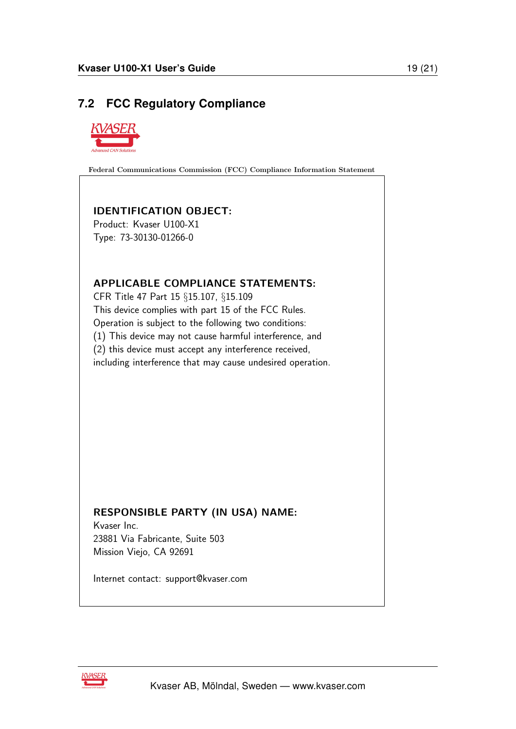### <span id="page-18-0"></span>7.2 FCC Regulatory Compliance

![](_page_18_Picture_2.jpeg)

Federal Communications Commission (FCC) Compliance Information Statement

#### IDENTIFICATION OBJECT:

Product: Kvaser U100-X1 Type: 73-30130-01266-0

#### APPLICABLE COMPLIANCE STATEMENTS:

CFR Title 47 Part 15 §15.107, §15.109 This device complies with part 15 of the FCC Rules. Operation is subject to the following two conditions: (1) This device may not cause harmful interference, and (2) this device must accept any interference received, including interference that may cause undesired operation.

#### RESPONSIBLE PARTY (IN USA) NAME:

Kvaser Inc. 23881 Via Fabricante, Suite 503 Mission Viejo, CA 92691

Internet contact: support@kvaser.com

![](_page_18_Picture_11.jpeg)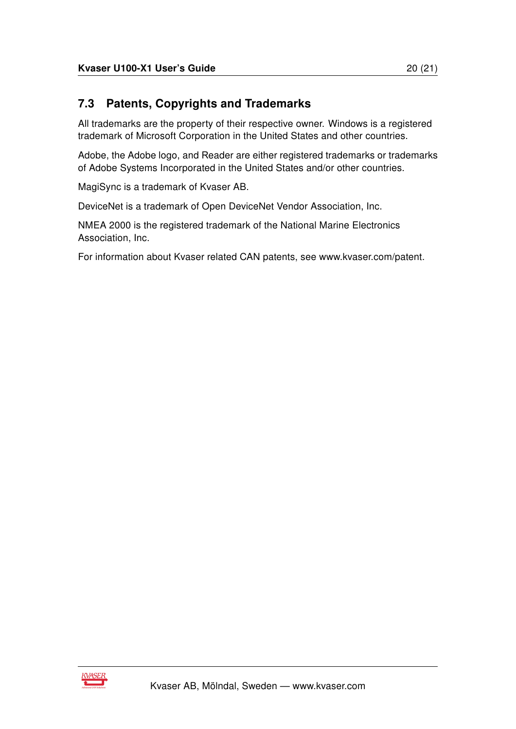### <span id="page-19-0"></span>7.3 Patents, Copyrights and Trademarks

All trademarks are the property of their respective owner. Windows is a registered trademark of Microsoft Corporation in the United States and other countries.

Adobe, the Adobe logo, and Reader are either registered trademarks or trademarks of Adobe Systems Incorporated in the United States and/or other countries.

MagiSync is a trademark of Kvaser AB.

DeviceNet is a trademark of Open DeviceNet Vendor Association, Inc.

NMEA 2000 is the registered trademark of the National Marine Electronics Association, Inc.

For information about Kvaser related CAN patents, see [www.kvaser.com/patent.](https://www.kvaser.com/patent/)

![](_page_19_Picture_8.jpeg)